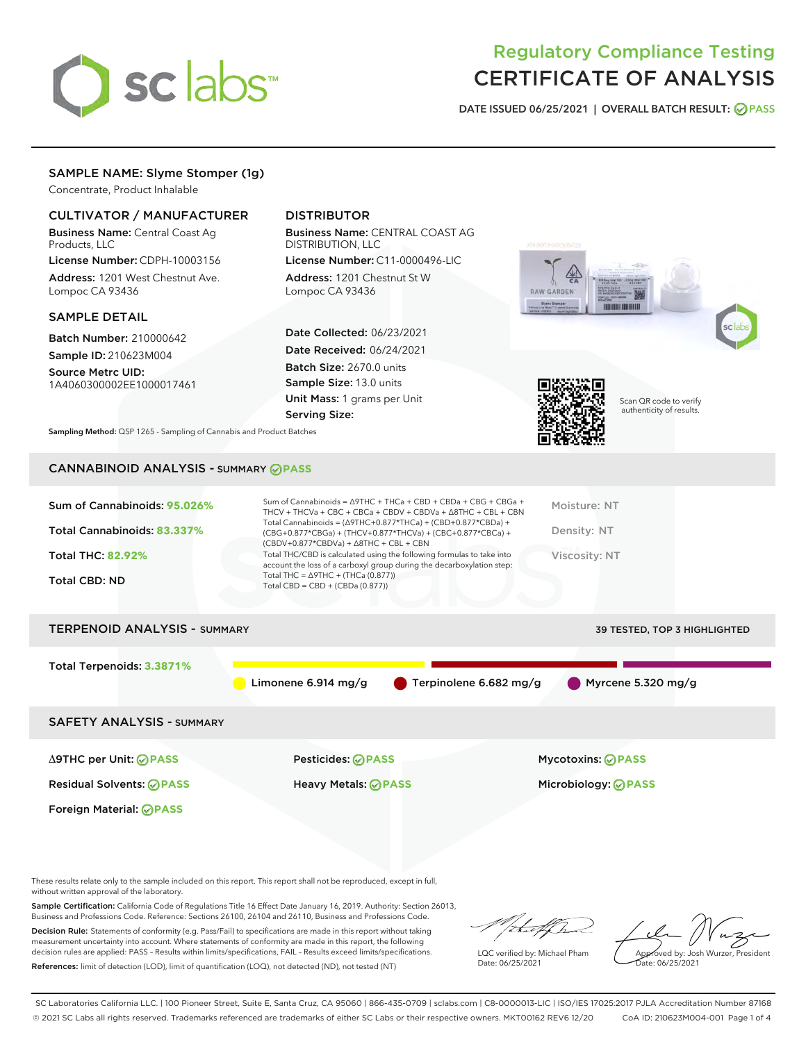

## Regulatory Compliance Testing CERTIFICATE OF ANALYSIS

DATE ISSUED 06/25/2021 | OVERALL BATCH RESULT: @ PASS

## SAMPLE NAME: Slyme Stomper (1g)

Concentrate, Product Inhalable

## CULTIVATOR / MANUFACTURER

Business Name: Central Coast Ag Products, LLC

License Number: CDPH-10003156 Address: 1201 West Chestnut Ave. Lompoc CA 93436

#### SAMPLE DETAIL

Batch Number: 210000642 Sample ID: 210623M004

Source Metrc UID: 1A4060300002EE1000017461

## DISTRIBUTOR

Business Name: CENTRAL COAST AG DISTRIBUTION, LLC

License Number: C11-0000496-LIC Address: 1201 Chestnut St W Lompoc CA 93436

Date Collected: 06/23/2021 Date Received: 06/24/2021 Batch Size: 2670.0 units Sample Size: 13.0 units Unit Mass: 1 grams per Unit Serving Size:





Scan QR code to verify authenticity of results.

Sampling Method: QSP 1265 - Sampling of Cannabis and Product Batches

## CANNABINOID ANALYSIS - SUMMARY **PASS**

| Total THC/CBD is calculated using the following formulas to take into<br><b>Total THC: 82.92%</b><br>Viscosity: NT<br>account the loss of a carboxyl group during the decarboxylation step:<br>Total THC = $\triangle$ 9THC + (THCa (0.877))<br><b>Total CBD: ND</b><br>Total CBD = $CBD + (CBDa (0.877))$ | Sum of Cannabinoids: 95.026%<br>Total Cannabinoids: 83.337% | Sum of Cannabinoids = $\triangle$ 9THC + THCa + CBD + CBDa + CBG + CBGa +<br>THCV + THCVa + CBC + CBCa + CBDV + CBDVa + $\Delta$ 8THC + CBL + CBN<br>Total Cannabinoids = $(\Delta$ 9THC+0.877*THCa) + (CBD+0.877*CBDa) +<br>(CBG+0.877*CBGa) + (THCV+0.877*THCVa) + (CBC+0.877*CBCa) +<br>$(CBDV+0.877*CBDVa) + \Delta 8THC + CBL + CBN$ | Moisture: NT<br>Density: NT |
|------------------------------------------------------------------------------------------------------------------------------------------------------------------------------------------------------------------------------------------------------------------------------------------------------------|-------------------------------------------------------------|-------------------------------------------------------------------------------------------------------------------------------------------------------------------------------------------------------------------------------------------------------------------------------------------------------------------------------------------|-----------------------------|
|                                                                                                                                                                                                                                                                                                            |                                                             |                                                                                                                                                                                                                                                                                                                                           |                             |

# TERPENOID ANALYSIS - SUMMARY 39 TESTED, TOP 3 HIGHLIGHTED Total Terpenoids: **3.3871%** Limonene 6.914 mg/g  $\bullet$  Terpinolene 6.682 mg/g  $\bullet$  Myrcene 5.320 mg/g SAFETY ANALYSIS - SUMMARY Δ9THC per Unit: **PASS** Pesticides: **PASS** Mycotoxins: **PASS**

Foreign Material: **PASS**

Residual Solvents: **PASS** Heavy Metals: **PASS** Microbiology: **PASS**

These results relate only to the sample included on this report. This report shall not be reproduced, except in full, without written approval of the laboratory.

Sample Certification: California Code of Regulations Title 16 Effect Date January 16, 2019. Authority: Section 26013, Business and Professions Code. Reference: Sections 26100, 26104 and 26110, Business and Professions Code. Decision Rule: Statements of conformity (e.g. Pass/Fail) to specifications are made in this report without taking

measurement uncertainty into account. Where statements of conformity are made in this report, the following decision rules are applied: PASS – Results within limits/specifications, FAIL – Results exceed limits/specifications. References: limit of detection (LOD), limit of quantification (LOQ), not detected (ND), not tested (NT)

that f(ha

LQC verified by: Michael Pham Date: 06/25/2021

Approved by: Josh Wurzer, President ate: 06/25/2021

SC Laboratories California LLC. | 100 Pioneer Street, Suite E, Santa Cruz, CA 95060 | 866-435-0709 | sclabs.com | C8-0000013-LIC | ISO/IES 17025:2017 PJLA Accreditation Number 87168 © 2021 SC Labs all rights reserved. Trademarks referenced are trademarks of either SC Labs or their respective owners. MKT00162 REV6 12/20 CoA ID: 210623M004-001 Page 1 of 4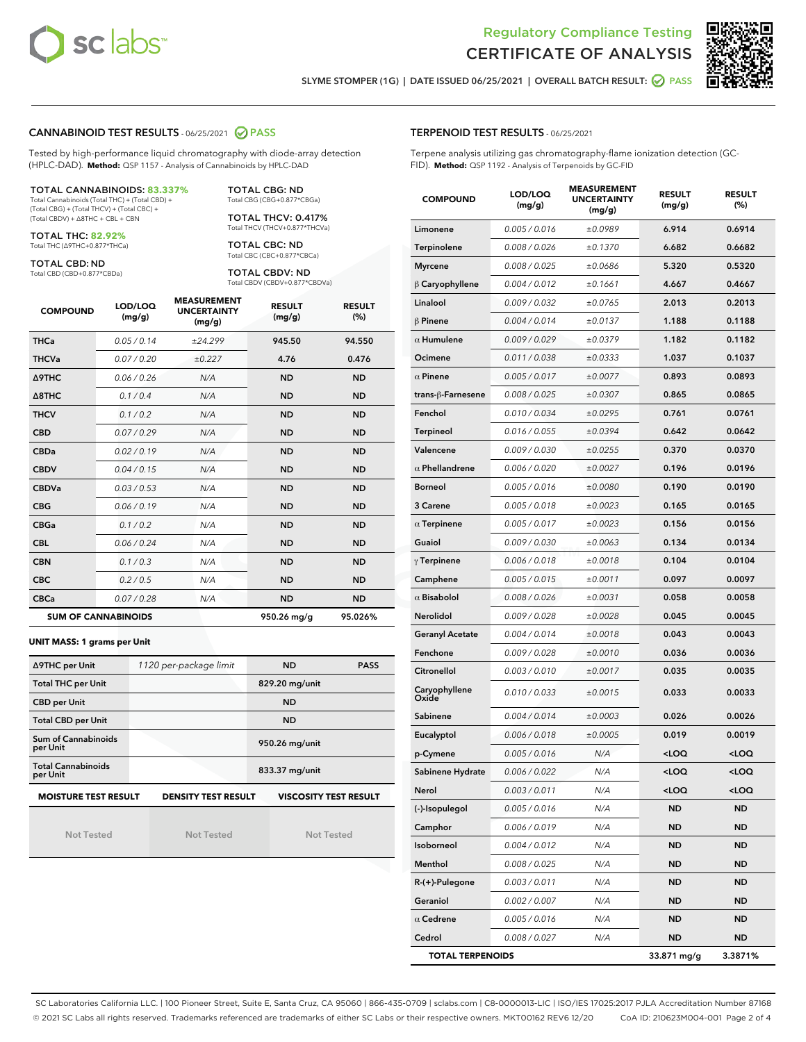



SLYME STOMPER (1G) | DATE ISSUED 06/25/2021 | OVERALL BATCH RESULT: 2 PASS

#### CANNABINOID TEST RESULTS - 06/25/2021 2 PASS

Tested by high-performance liquid chromatography with diode-array detection (HPLC-DAD). **Method:** QSP 1157 - Analysis of Cannabinoids by HPLC-DAD

#### TOTAL CANNABINOIDS: **83.337%**

Total Cannabinoids (Total THC) + (Total CBD) + (Total CBG) + (Total THCV) + (Total CBC) + (Total CBDV) + ∆8THC + CBL + CBN

TOTAL THC: **82.92%** Total THC (∆9THC+0.877\*THCa)

TOTAL CBD: ND

Total CBD (CBD+0.877\*CBDa)

TOTAL CBG: ND Total CBG (CBG+0.877\*CBGa)

TOTAL THCV: 0.417% Total THCV (THCV+0.877\*THCVa)

TOTAL CBC: ND Total CBC (CBC+0.877\*CBCa)

TOTAL CBDV: ND Total CBDV (CBDV+0.877\*CBDVa)

| <b>COMPOUND</b>  | LOD/LOQ<br>(mg/g)          | <b>MEASUREMENT</b><br><b>UNCERTAINTY</b><br>(mg/g) | <b>RESULT</b><br>(mg/g) | <b>RESULT</b><br>(%) |
|------------------|----------------------------|----------------------------------------------------|-------------------------|----------------------|
| <b>THCa</b>      | 0.05/0.14                  | ±24.299                                            | 945.50                  | 94.550               |
| <b>THCVa</b>     | 0.07 / 0.20                | ±0.227                                             | 4.76                    | 0.476                |
| <b>A9THC</b>     | 0.06 / 0.26                | N/A                                                | <b>ND</b>               | <b>ND</b>            |
| $\triangle$ 8THC | 0.1/0.4                    | N/A                                                | <b>ND</b>               | <b>ND</b>            |
| <b>THCV</b>      | 0.1/0.2                    | N/A                                                | <b>ND</b>               | <b>ND</b>            |
| <b>CBD</b>       | 0.07/0.29                  | N/A                                                | <b>ND</b>               | <b>ND</b>            |
| <b>CBDa</b>      | 0.02/0.19                  | N/A                                                | <b>ND</b>               | <b>ND</b>            |
| <b>CBDV</b>      | 0.04/0.15                  | N/A                                                | <b>ND</b>               | <b>ND</b>            |
| <b>CBDVa</b>     | 0.03/0.53                  | N/A                                                | <b>ND</b>               | <b>ND</b>            |
| <b>CBG</b>       | 0.06/0.19                  | N/A                                                | <b>ND</b>               | <b>ND</b>            |
| <b>CBGa</b>      | 0.1/0.2                    | N/A                                                | <b>ND</b>               | <b>ND</b>            |
| <b>CBL</b>       | 0.06 / 0.24                | N/A                                                | <b>ND</b>               | <b>ND</b>            |
| <b>CBN</b>       | 0.1/0.3                    | N/A                                                | <b>ND</b>               | <b>ND</b>            |
| <b>CBC</b>       | 0.2 / 0.5                  | N/A                                                | <b>ND</b>               | <b>ND</b>            |
| <b>CBCa</b>      | 0.07/0.28                  | N/A                                                | <b>ND</b>               | <b>ND</b>            |
|                  | <b>SUM OF CANNABINOIDS</b> |                                                    | 950.26 mg/g             | 95.026%              |

#### **UNIT MASS: 1 grams per Unit**

| ∆9THC per Unit                        | 1120 per-package limit     | <b>ND</b>                    | <b>PASS</b> |
|---------------------------------------|----------------------------|------------------------------|-------------|
| <b>Total THC per Unit</b>             |                            | 829.20 mg/unit               |             |
| <b>CBD per Unit</b>                   |                            | <b>ND</b>                    |             |
| <b>Total CBD per Unit</b>             |                            | <b>ND</b>                    |             |
| Sum of Cannabinoids<br>per Unit       |                            | 950.26 mg/unit               |             |
| <b>Total Cannabinoids</b><br>per Unit |                            | 833.37 mg/unit               |             |
| <b>MOISTURE TEST RESULT</b>           | <b>DENSITY TEST RESULT</b> | <b>VISCOSITY TEST RESULT</b> |             |

Not Tested

Not Tested

Not Tested

#### TERPENOID TEST RESULTS - 06/25/2021

Terpene analysis utilizing gas chromatography-flame ionization detection (GC-FID). **Method:** QSP 1192 - Analysis of Terpenoids by GC-FID

| <b>COMPOUND</b>         | LOD/LOQ<br>(mg/g) | <b>MEASUREMENT</b><br><b>UNCERTAINTY</b><br>(mg/g) | <b>RESULT</b><br>(mg/g)                         | <b>RESULT</b><br>(%) |
|-------------------------|-------------------|----------------------------------------------------|-------------------------------------------------|----------------------|
| Limonene                | 0.005 / 0.016     | ±0.0989                                            | 6.914                                           | 0.6914               |
| Terpinolene             | 0.008 / 0.026     | ±0.1370                                            | 6.682                                           | 0.6682               |
| <b>Myrcene</b>          | 0.008 / 0.025     | ±0.0686                                            | 5.320                                           | 0.5320               |
| $\upbeta$ Caryophyllene | 0.004 / 0.012     | ±0.1661                                            | 4.667                                           | 0.4667               |
| Linalool                | 0.009 / 0.032     | ±0.0765                                            | 2.013                                           | 0.2013               |
| $\beta$ Pinene          | 0.004 / 0.014     | ±0.0137                                            | 1.188                                           | 0.1188               |
| $\alpha$ Humulene       | 0.009/0.029       | ±0.0379                                            | 1.182                                           | 0.1182               |
| Ocimene                 | 0.011 / 0.038     | ±0.0333                                            | 1.037                                           | 0.1037               |
| $\alpha$ Pinene         | 0.005 / 0.017     | ±0.0077                                            | 0.893                                           | 0.0893               |
| trans-β-Farnesene       | 0.008 / 0.025     | ±0.0307                                            | 0.865                                           | 0.0865               |
| Fenchol                 | 0.010 / 0.034     | ±0.0295                                            | 0.761                                           | 0.0761               |
| <b>Terpineol</b>        | 0.016 / 0.055     | ±0.0394                                            | 0.642                                           | 0.0642               |
| Valencene               | 0.009 / 0.030     | ±0.0255                                            | 0.370                                           | 0.0370               |
| $\alpha$ Phellandrene   | 0.006 / 0.020     | ±0.0027                                            | 0.196                                           | 0.0196               |
| <b>Borneol</b>          | 0.005 / 0.016     | ±0.0080                                            | 0.190                                           | 0.0190               |
| 3 Carene                | 0.005 / 0.018     | ±0.0023                                            | 0.165                                           | 0.0165               |
| $\alpha$ Terpinene      | 0.005 / 0.017     | ±0.0023                                            | 0.156                                           | 0.0156               |
| Guaiol                  | 0.009 / 0.030     | ±0.0063                                            | 0.134                                           | 0.0134               |
| $\gamma$ Terpinene      | 0.006 / 0.018     | ±0.0018                                            | 0.104                                           | 0.0104               |
| Camphene                | 0.005 / 0.015     | ±0.0011                                            | 0.097                                           | 0.0097               |
| $\alpha$ Bisabolol      | 0.008 / 0.026     | ±0.0031                                            | 0.058                                           | 0.0058               |
| Nerolidol               | 0.009 / 0.028     | ±0.0028                                            | 0.045                                           | 0.0045               |
| <b>Geranyl Acetate</b>  | 0.004 / 0.014     | ±0.0018                                            | 0.043                                           | 0.0043               |
| Fenchone                | 0.009 / 0.028     | ±0.0010                                            | 0.036                                           | 0.0036               |
| Citronellol             | 0.003 / 0.010     | ±0.0017                                            | 0.035                                           | 0.0035               |
| Caryophyllene<br>Oxide  | 0.010 / 0.033     | ±0.0015                                            | 0.033                                           | 0.0033               |
| Sabinene                | 0.004 / 0.014     | ±0.0003                                            | 0.026                                           | 0.0026               |
| Eucalyptol              | 0.006 / 0.018     | ±0.0005                                            | 0.019                                           | 0.0019               |
| p-Cymene                | 0.005 / 0.016     | N/A                                                | <loq< th=""><th><loq< th=""></loq<></th></loq<> | <loq< th=""></loq<>  |
| Sabinene Hydrate        | 0.006 / 0.022     | N/A                                                | <loq< th=""><th><loq< th=""></loq<></th></loq<> | <loq< th=""></loq<>  |
| Nerol                   | 0.003 / 0.011     | N/A                                                | <loq< th=""><th><loq< th=""></loq<></th></loq<> | <loq< th=""></loq<>  |
| (-)-Isopulegol          | 0.005 / 0.016     | N/A                                                | ND                                              | ND                   |
| Camphor                 | 0.006 / 0.019     | N/A                                                | ND                                              | <b>ND</b>            |
| Isoborneol              | 0.004 / 0.012     | N/A                                                | ND                                              | ND                   |
| Menthol                 | 0.008 / 0.025     | N/A                                                | ND                                              | ND                   |
| R-(+)-Pulegone          | 0.003 / 0.011     | N/A                                                | ND                                              | ND                   |
| Geraniol                | 0.002 / 0.007     | N/A                                                | ND                                              | ND                   |
| $\alpha$ Cedrene        | 0.005 / 0.016     | N/A                                                | ND                                              | ND                   |
| Cedrol                  | 0.008 / 0.027     | N/A                                                | ND                                              | <b>ND</b>            |
| <b>TOTAL TERPENOIDS</b> |                   |                                                    | 33.871 mg/g                                     | 3.3871%              |

SC Laboratories California LLC. | 100 Pioneer Street, Suite E, Santa Cruz, CA 95060 | 866-435-0709 | sclabs.com | C8-0000013-LIC | ISO/IES 17025:2017 PJLA Accreditation Number 87168 © 2021 SC Labs all rights reserved. Trademarks referenced are trademarks of either SC Labs or their respective owners. MKT00162 REV6 12/20 CoA ID: 210623M004-001 Page 2 of 4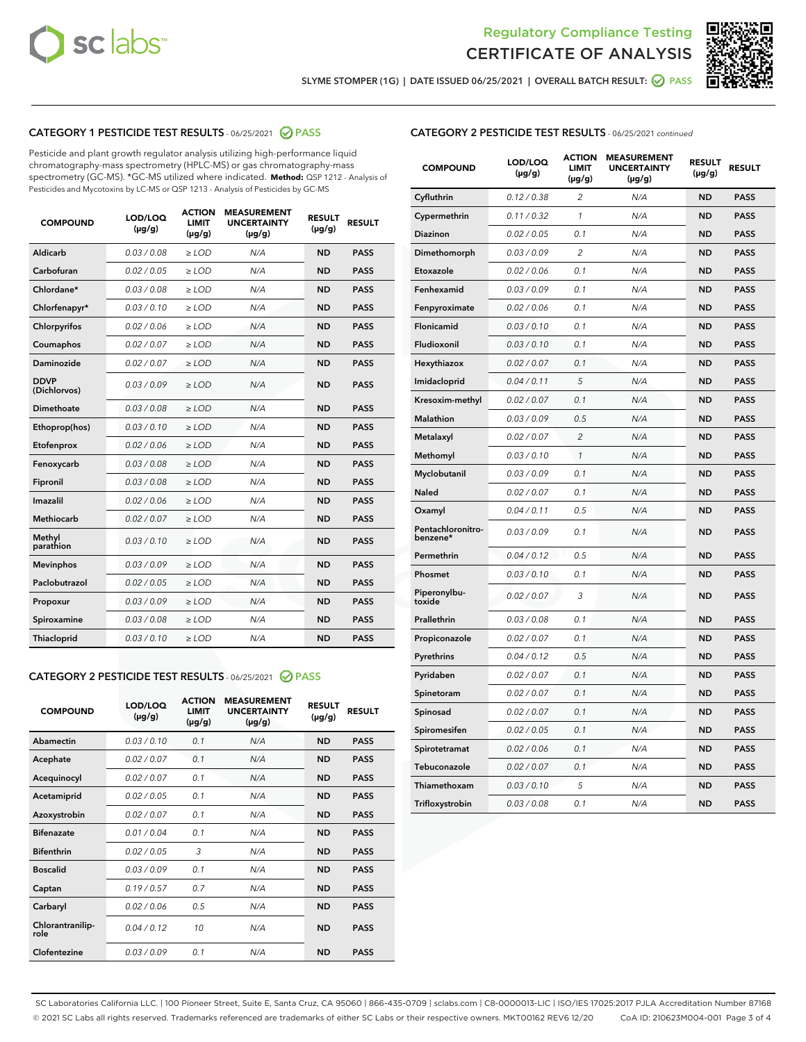



SLYME STOMPER (1G) | DATE ISSUED 06/25/2021 | OVERALL BATCH RESULT:  $\bigotimes$  PASS

## CATEGORY 1 PESTICIDE TEST RESULTS - 06/25/2021 2 PASS

Pesticide and plant growth regulator analysis utilizing high-performance liquid chromatography-mass spectrometry (HPLC-MS) or gas chromatography-mass spectrometry (GC-MS). \*GC-MS utilized where indicated. **Method:** QSP 1212 - Analysis of Pesticides and Mycotoxins by LC-MS or QSP 1213 - Analysis of Pesticides by GC-MS

| <b>COMPOUND</b>             | LOD/LOQ<br>$(\mu g/g)$ | <b>ACTION</b><br><b>LIMIT</b><br>$(\mu g/g)$ | <b>MEASUREMENT</b><br><b>UNCERTAINTY</b><br>$(\mu g/g)$ | <b>RESULT</b><br>$(\mu g/g)$ | <b>RESULT</b> |
|-----------------------------|------------------------|----------------------------------------------|---------------------------------------------------------|------------------------------|---------------|
| Aldicarb                    | 0.03 / 0.08            | $\ge$ LOD                                    | N/A                                                     | <b>ND</b>                    | <b>PASS</b>   |
| Carbofuran                  | 0.02/0.05              | $\ge$ LOD                                    | N/A                                                     | <b>ND</b>                    | <b>PASS</b>   |
| Chlordane*                  | 0.03 / 0.08            | $\ge$ LOD                                    | N/A                                                     | <b>ND</b>                    | <b>PASS</b>   |
| Chlorfenapyr*               | 0.03/0.10              | $\ge$ LOD                                    | N/A                                                     | <b>ND</b>                    | <b>PASS</b>   |
| Chlorpyrifos                | 0.02 / 0.06            | $\ge$ LOD                                    | N/A                                                     | <b>ND</b>                    | <b>PASS</b>   |
| Coumaphos                   | 0.02 / 0.07            | $>$ LOD                                      | N/A                                                     | <b>ND</b>                    | <b>PASS</b>   |
| Daminozide                  | 0.02 / 0.07            | $\ge$ LOD                                    | N/A                                                     | <b>ND</b>                    | <b>PASS</b>   |
| <b>DDVP</b><br>(Dichlorvos) | 0.03/0.09              | $\ge$ LOD                                    | N/A                                                     | <b>ND</b>                    | <b>PASS</b>   |
| Dimethoate                  | 0.03 / 0.08            | $>$ LOD                                      | N/A                                                     | <b>ND</b>                    | <b>PASS</b>   |
| Ethoprop(hos)               | 0.03/0.10              | $\ge$ LOD                                    | N/A                                                     | <b>ND</b>                    | <b>PASS</b>   |
| Etofenprox                  | 0.02 / 0.06            | $\ge$ LOD                                    | N/A                                                     | <b>ND</b>                    | <b>PASS</b>   |
| Fenoxycarb                  | 0.03 / 0.08            | $>$ LOD                                      | N/A                                                     | <b>ND</b>                    | <b>PASS</b>   |
| Fipronil                    | 0.03/0.08              | $\ge$ LOD                                    | N/A                                                     | <b>ND</b>                    | <b>PASS</b>   |
| Imazalil                    | 0.02 / 0.06            | $>$ LOD                                      | N/A                                                     | <b>ND</b>                    | <b>PASS</b>   |
| Methiocarb                  | 0.02 / 0.07            | $\ge$ LOD                                    | N/A                                                     | <b>ND</b>                    | <b>PASS</b>   |
| Methyl<br>parathion         | 0.03/0.10              | $\ge$ LOD                                    | N/A                                                     | <b>ND</b>                    | <b>PASS</b>   |
| <b>Mevinphos</b>            | 0.03/0.09              | $\ge$ LOD                                    | N/A                                                     | <b>ND</b>                    | <b>PASS</b>   |
| Paclobutrazol               | 0.02 / 0.05            | $\ge$ LOD                                    | N/A                                                     | <b>ND</b>                    | <b>PASS</b>   |
| Propoxur                    | 0.03/0.09              | $\ge$ LOD                                    | N/A                                                     | <b>ND</b>                    | <b>PASS</b>   |
| Spiroxamine                 | 0.03 / 0.08            | $\ge$ LOD                                    | N/A                                                     | <b>ND</b>                    | <b>PASS</b>   |
| Thiacloprid                 | 0.03/0.10              | $\ge$ LOD                                    | N/A                                                     | <b>ND</b>                    | <b>PASS</b>   |

#### CATEGORY 2 PESTICIDE TEST RESULTS - 06/25/2021 @ PASS

| <b>COMPOUND</b>          | LOD/LOQ<br>$(\mu g/g)$ | <b>ACTION</b><br><b>LIMIT</b><br>$(\mu g/g)$ | <b>MEASUREMENT</b><br><b>UNCERTAINTY</b><br>$(\mu g/g)$ | <b>RESULT</b><br>$(\mu g/g)$ | <b>RESULT</b> |
|--------------------------|------------------------|----------------------------------------------|---------------------------------------------------------|------------------------------|---------------|
| Abamectin                | 0.03/0.10              | 0.1                                          | N/A                                                     | <b>ND</b>                    | <b>PASS</b>   |
| Acephate                 | 0.02/0.07              | 0.1                                          | N/A                                                     | <b>ND</b>                    | <b>PASS</b>   |
| Acequinocyl              | 0.02/0.07              | 0.1                                          | N/A                                                     | <b>ND</b>                    | <b>PASS</b>   |
| Acetamiprid              | 0.02/0.05              | 0.1                                          | N/A                                                     | <b>ND</b>                    | <b>PASS</b>   |
| Azoxystrobin             | 0.02/0.07              | 0.1                                          | N/A                                                     | <b>ND</b>                    | <b>PASS</b>   |
| <b>Bifenazate</b>        | 0.01/0.04              | 0.1                                          | N/A                                                     | <b>ND</b>                    | <b>PASS</b>   |
| <b>Bifenthrin</b>        | 0.02 / 0.05            | 3                                            | N/A                                                     | <b>ND</b>                    | <b>PASS</b>   |
| <b>Boscalid</b>          | 0.03/0.09              | 0.1                                          | N/A                                                     | <b>ND</b>                    | <b>PASS</b>   |
| Captan                   | 0.19/0.57              | 0.7                                          | N/A                                                     | <b>ND</b>                    | <b>PASS</b>   |
| Carbaryl                 | 0.02/0.06              | 0.5                                          | N/A                                                     | <b>ND</b>                    | <b>PASS</b>   |
| Chlorantranilip-<br>role | 0.04/0.12              | 10                                           | N/A                                                     | <b>ND</b>                    | <b>PASS</b>   |
| Clofentezine             | 0.03/0.09              | 0.1                                          | N/A                                                     | <b>ND</b>                    | <b>PASS</b>   |

| <b>COMPOUND</b>               | LOD/LOQ<br>(µg/g) | <b>ACTION</b><br>LIMIT<br>$(\mu g/g)$ | <b>MEASUREMENT</b><br><b>UNCERTAINTY</b><br>$(\mu g/g)$ | <b>RESULT</b><br>(µg/g) | <b>RESULT</b> |
|-------------------------------|-------------------|---------------------------------------|---------------------------------------------------------|-------------------------|---------------|
| Cyfluthrin                    | 0.12 / 0.38       | 2                                     | N/A                                                     | <b>ND</b>               | <b>PASS</b>   |
| Cypermethrin                  | 0.11 / 0.32       | $\mathcal{I}$                         | N/A                                                     | <b>ND</b>               | <b>PASS</b>   |
| Diazinon                      | 0.02 / 0.05       | 0.1                                   | N/A                                                     | <b>ND</b>               | <b>PASS</b>   |
| Dimethomorph                  | 0.03 / 0.09       | 2                                     | N/A                                                     | <b>ND</b>               | <b>PASS</b>   |
| Etoxazole                     | 0.02 / 0.06       | 0.1                                   | N/A                                                     | <b>ND</b>               | <b>PASS</b>   |
| Fenhexamid                    | 0.03 / 0.09       | 0.1                                   | N/A                                                     | <b>ND</b>               | <b>PASS</b>   |
| Fenpyroximate                 | 0.02 / 0.06       | 0.1                                   | N/A                                                     | <b>ND</b>               | <b>PASS</b>   |
| Flonicamid                    | 0.03 / 0.10       | 0.1                                   | N/A                                                     | <b>ND</b>               | <b>PASS</b>   |
| Fludioxonil                   | 0.03 / 0.10       | 0.1                                   | N/A                                                     | <b>ND</b>               | <b>PASS</b>   |
| Hexythiazox                   | 0.02 / 0.07       | 0.1                                   | N/A                                                     | <b>ND</b>               | <b>PASS</b>   |
| Imidacloprid                  | 0.04 / 0.11       | 5                                     | N/A                                                     | <b>ND</b>               | <b>PASS</b>   |
| Kresoxim-methyl               | 0.02 / 0.07       | 0.1                                   | N/A                                                     | <b>ND</b>               | <b>PASS</b>   |
| Malathion                     | 0.03 / 0.09       | 0.5                                   | N/A                                                     | <b>ND</b>               | <b>PASS</b>   |
| Metalaxyl                     | 0.02 / 0.07       | $\overline{c}$                        | N/A                                                     | <b>ND</b>               | <b>PASS</b>   |
| Methomyl                      | 0.03 / 0.10       | $\mathcal{I}$                         | N/A                                                     | <b>ND</b>               | <b>PASS</b>   |
| Myclobutanil                  | 0.03 / 0.09       | 0.1                                   | N/A                                                     | <b>ND</b>               | <b>PASS</b>   |
| Naled                         | 0.02 / 0.07       | 0.1                                   | N/A                                                     | <b>ND</b>               | <b>PASS</b>   |
| Oxamyl                        | 0.04 / 0.11       | 0.5                                   | N/A                                                     | <b>ND</b>               | <b>PASS</b>   |
| Pentachloronitro-<br>benzene* | 0.03/0.09         | 0.1                                   | N/A                                                     | <b>ND</b>               | <b>PASS</b>   |
| Permethrin                    | 0.04 / 0.12       | 0.5                                   | N/A                                                     | <b>ND</b>               | <b>PASS</b>   |
| Phosmet                       | 0.03 / 0.10       | 0.1                                   | N/A                                                     | <b>ND</b>               | <b>PASS</b>   |
| Piperonylbu-<br>toxide        | 0.02 / 0.07       | 3                                     | N/A                                                     | <b>ND</b>               | <b>PASS</b>   |
| Prallethrin                   | 0.03 / 0.08       | 0.1                                   | N/A                                                     | <b>ND</b>               | <b>PASS</b>   |
| Propiconazole                 | 0.02 / 0.07       | 0.1                                   | N/A                                                     | <b>ND</b>               | <b>PASS</b>   |
| Pyrethrins                    | 0.04 / 0.12       | 0.5                                   | N/A                                                     | <b>ND</b>               | <b>PASS</b>   |
| Pyridaben                     | 0.02 / 0.07       | 0.1                                   | N/A                                                     | <b>ND</b>               | <b>PASS</b>   |
| Spinetoram                    | 0.02 / 0.07       | 0.1                                   | N/A                                                     | <b>ND</b>               | <b>PASS</b>   |
| Spinosad                      | 0.02 / 0.07       | 0.1                                   | N/A                                                     | <b>ND</b>               | <b>PASS</b>   |
| Spiromesifen                  | 0.02 / 0.05       | 0.1                                   | N/A                                                     | <b>ND</b>               | <b>PASS</b>   |
| Spirotetramat                 | 0.02 / 0.06       | 0.1                                   | N/A                                                     | <b>ND</b>               | <b>PASS</b>   |
| Tebuconazole                  | 0.02 / 0.07       | 0.1                                   | N/A                                                     | <b>ND</b>               | <b>PASS</b>   |
| Thiamethoxam                  | 0.03 / 0.10       | 5                                     | N/A                                                     | <b>ND</b>               | <b>PASS</b>   |
| Trifloxystrobin               | 0.03 / 0.08       | 0.1                                   | N/A                                                     | <b>ND</b>               | <b>PASS</b>   |

SC Laboratories California LLC. | 100 Pioneer Street, Suite E, Santa Cruz, CA 95060 | 866-435-0709 | sclabs.com | C8-0000013-LIC | ISO/IES 17025:2017 PJLA Accreditation Number 87168 © 2021 SC Labs all rights reserved. Trademarks referenced are trademarks of either SC Labs or their respective owners. MKT00162 REV6 12/20 CoA ID: 210623M004-001 Page 3 of 4